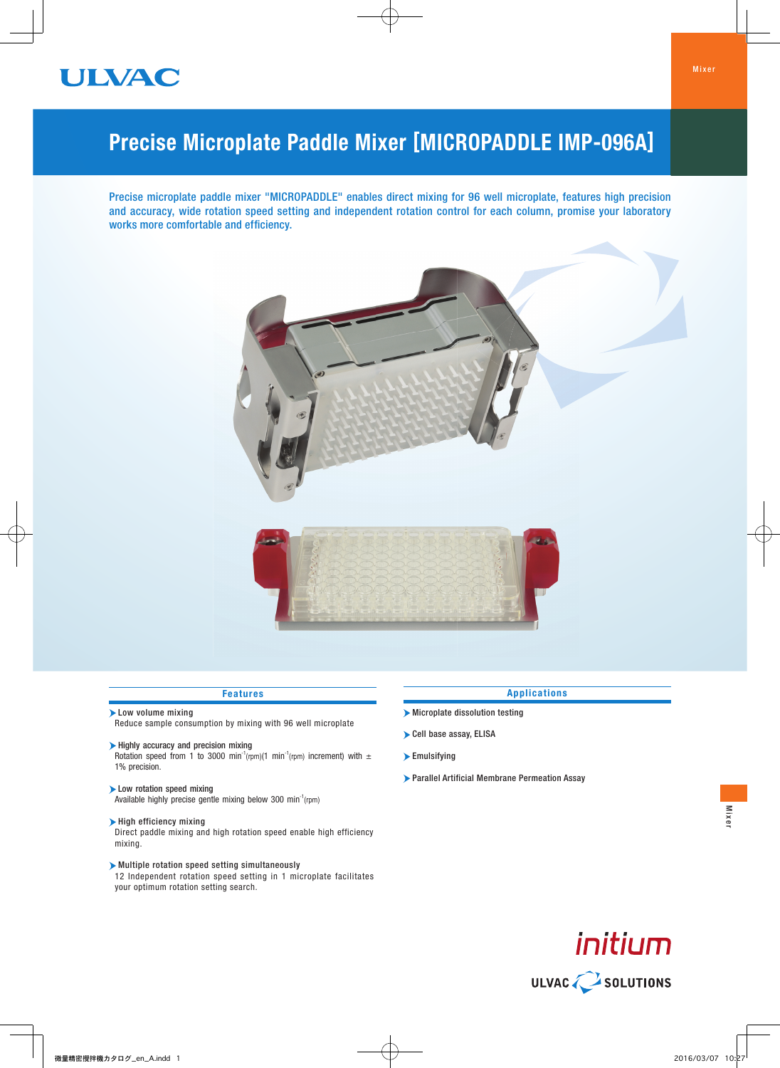

# Precise Microplate Paddle Mixer [MICROPADDLE IMP-096A]

Precise microplate paddle mixer "MICROPADDLE" enables direct mixing for 96 well microplate, features high precision and accuracy, wide rotation speed setting and independent rotation control for each column, promise your laboratory works more comfortable and efficiency.



#### Features

Low volume mixing

Reduce sample consumption by mixing with 96 well microplate

- Highly accuracy and precision mixing Rotation speed from 1 to 3000 min<sup>-1</sup>(rpm)(1 min<sup>-1</sup>(rpm) increment) with  $\pm$ 1% precision.
- Low rotation speed mixing Available highly precise gentle mixing below 300 min<sup>-1</sup>(rpm)
- $\blacktriangleright$  High efficiency mixing

Direct paddle mixing and high rotation speed enable high efficiency mixing.

Multiple rotation speed setting simultaneously 12 Independent rotation speed setting in 1 microplate facilitates your optimum rotation setting search.

#### Applications

- Microplate dissolution testing
- Cell base assay, ELISA
- Emulsifying
- Parallel Artificial Membrane Permeation Assay